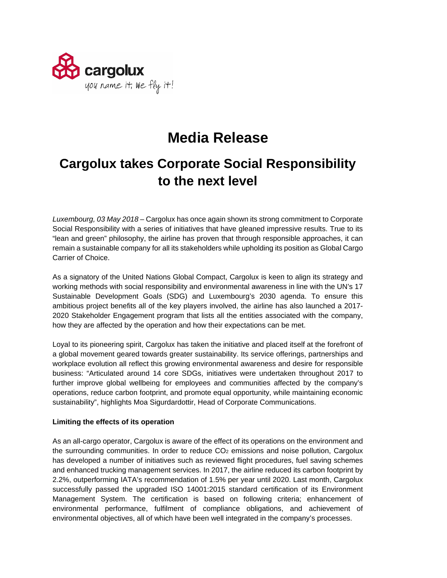

# **Media Release**

## **Cargolux takes Corporate Social Responsibility to the next level**

*Luxembourg, 03 May 2018* – Cargolux has once again shown its strong commitment to Corporate Social Responsibility with a series of initiatives that have gleaned impressive results. True to its "lean and green" philosophy, the airline has proven that through responsible approaches, it can remain a sustainable company for all its stakeholders while upholding its position as Global Cargo Carrier of Choice.

As a signatory of the United Nations Global Compact, Cargolux is keen to align its strategy and working methods with social responsibility and environmental awareness in line with the UN's 17 Sustainable Development Goals (SDG) and Luxembourg's 2030 agenda. To ensure this ambitious project benefits all of the key players involved, the airline has also launched a 2017- 2020 Stakeholder Engagement program that lists all the entities associated with the company, how they are affected by the operation and how their expectations can be met.

Loyal to its pioneering spirit, Cargolux has taken the initiative and placed itself at the forefront of a global movement geared towards greater sustainability. Its service offerings, partnerships and workplace evolution all reflect this growing environmental awareness and desire for responsible business: "Articulated around 14 core SDGs, initiatives were undertaken throughout 2017 to further improve global wellbeing for employees and communities affected by the company's operations, reduce carbon footprint, and promote equal opportunity, while maintaining economic sustainability", highlights Moa Sigurdardottir, Head of Corporate Communications.

## **Limiting the effects of its operation**

As an all-cargo operator, Cargolux is aware of the effect of its operations on the environment and the surrounding communities. In order to reduce  $CO<sub>2</sub>$  emissions and noise pollution, Cargolux has developed a number of initiatives such as reviewed flight procedures, fuel saving schemes and enhanced trucking management services. In 2017, the airline reduced its carbon footprint by 2.2%, outperforming IATA's recommendation of 1.5% per year until 2020. Last month, Cargolux successfully passed the upgraded ISO 14001:2015 standard certification of its Environment Management System. The certification is based on following criteria; enhancement of environmental performance, fulfilment of compliance obligations, and achievement of environmental objectives, all of which have been well integrated in the company's processes.